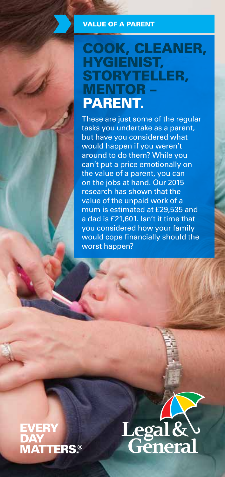#### VALUE OF A PARENT

## COOK, CLEANER, HYGIENIST, STORYTELLER, MENTOR – PARENT.

These are just some of the regular tasks you undertake as a parent, but have you considered what would happen if you weren't around to do them? While you can't put a price emotionally on the value of a parent, you can on the jobs at hand. Our 2015 research has shown that the value of the unpaid work of a mum is estimated at £29,535 and a dad is £21,601. Isn't it time that you considered how your family would cope financially should the worst happen?

# **EVERY MATTERS®**

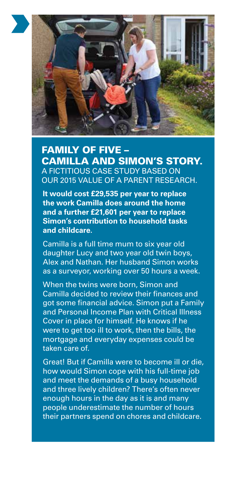

#### FAMILY OF FIVE – CAMILLA AND SIMON'S STORY. A FICTITIOUS CASE STUDY BASED ON OUR 2015 VALUE OF A PARENT RESEARCH.

**It would cost £29,535 per year to replace the work Camilla does around the home and a further £21,601 per year to replace Simon's contribution to household tasks and childcare.**

Camilla is a full time mum to six year old daughter Lucy and two year old twin boys, Alex and Nathan. Her husband Simon works as a surveyor, working over 50 hours a week.

When the twins were born, Simon and Camilla decided to review their finances and got some financial advice. Simon put a Family and Personal Income Plan with Critical Illness Cover in place for himself. He knows if he were to get too ill to work, then the bills, the mortgage and everyday expenses could be taken care of.

Great! But if Camilla were to become ill or die, how would Simon cope with his full-time job and meet the demands of a busy household and three lively children? There's often never enough hours in the day as it is and many people underestimate the number of hours their partners spend on chores and childcare.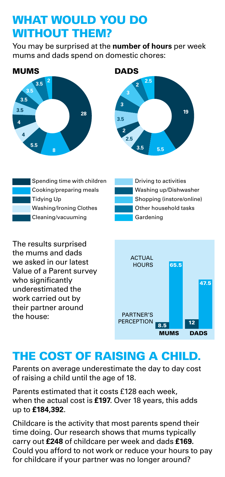### WHAT WOULD YOU DO WITHOUT THEM?

You may be surprised at the **number of hours** per week mums and dads spend on domestic chores:





| Spending time with children    | Driving to activities     |
|--------------------------------|---------------------------|
| Cooking/preparing meals        | Washing up/Dishwasher     |
| Tidying Up                     | Shopping (instore/online) |
| <b>Washing/Ironing Clothes</b> | Other household tasks     |
| Cleaning/vacuuming             | Gardening                 |

The results surprised the mums and dads we asked in our latest Value of a Parent survey who significantly underestimated the work carried out by their partner around the house:



### THE COST OF RAISING A CHILD.

Parents on average underestimate the day to day cost of raising a child until the age of 18.

Parents estimated that it costs £128 each week, when the actual cost is **£197**. Over 18 years, this adds up to **£184,392**.

Childcare is the activity that most parents spend their time doing. Our research shows that mums typically carry out **£248** of childcare per week and dads **£169.** Could you afford to not work or reduce your hours to pay for childcare if your partner was no longer around?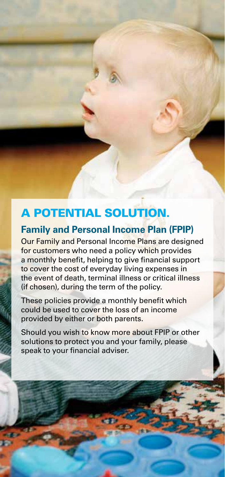### A POTENTIAL SOLUTION.

#### **Family and Personal Income Plan (FPIP)**

Our Family and Personal Income Plans are designed for customers who need a policy which provides a monthly benefit, helping to give financial support to cover the cost of everyday living expenses in the event of death, terminal illness or critical illness (if chosen), during the term of the policy.

These policies provide a monthly benefit which could be used to cover the loss of an income provided by either or both parents.

Should you wish to know more about FPIP or other solutions to protect you and your family, please speak to your financial adviser.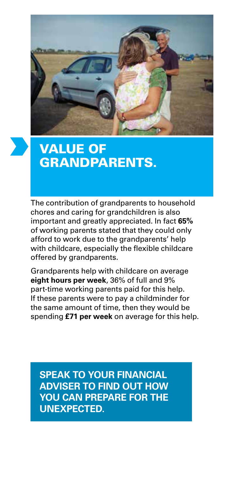

# VALUE OF GRANDPARENTS.

The contribution of grandparents to household chores and caring for grandchildren is also important and greatly appreciated. In fact **65%** of working parents stated that they could only afford to work due to the grandparents' help with childcare, especially the flexible childcare offered by grandparents.

Grandparents help with childcare on average **eight hours per week**, 36% of full and 9% part-time working parents paid for this help. If these parents were to pay a childminder for the same amount of time, then they would be spending **£71 per week** on average for this help.

**SPEAK TO YOUR FINANCIAL ADVISER TO FIND OUT HOW YOU CAN PREPARE FOR THE UNEXPECTED.**